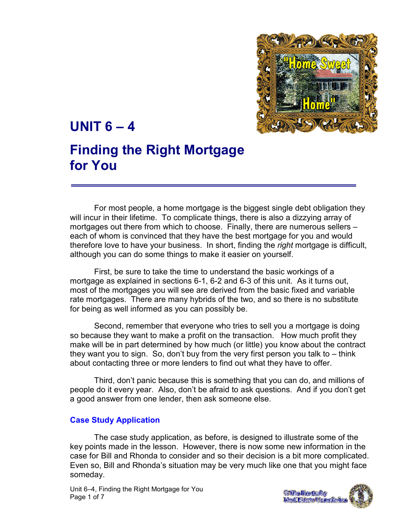

# UNIT  $6 - 4$

# Finding the Right Mortgage for You

For most people, a home mortgage is the biggest single debt obligation they will incur in their lifetime. To complicate things, there is also a dizzying array of mortgages out there from which to choose. Finally, there are numerous sellers – each of whom is convinced that they have the best mortgage for you and would therefore love to have your business. In short, finding the right mortgage is difficult, although you can do some things to make it easier on yourself.

First, be sure to take the time to understand the basic workings of a mortgage as explained in sections 6-1, 6-2 and 6-3 of this unit. As it turns out, most of the mortgages you will see are derived from the basic fixed and variable rate mortgages. There are many hybrids of the two, and so there is no substitute for being as well informed as you can possibly be.

Second, remember that everyone who tries to sell you a mortgage is doing so because they want to make a profit on the transaction. How much profit they make will be in part determined by how much (or little) you know about the contract they want you to sign. So, don't buy from the very first person you talk to – think about contacting three or more lenders to find out what they have to offer.

Third, don't panic because this is something that you can do, and millions of people do it every year. Also, don't be afraid to ask questions. And if you don't get a good answer from one lender, then ask someone else.

#### Case Study Application

The case study application, as before, is designed to illustrate some of the key points made in the lesson. However, there is now some new information in the case for Bill and Rhonda to consider and so their decision is a bit more complicated. Even so, Bill and Rhonda's situation may be very much like one that you might face someday.

Unit 6–4, Finding the Right Mortgage for You Page 1 of 7

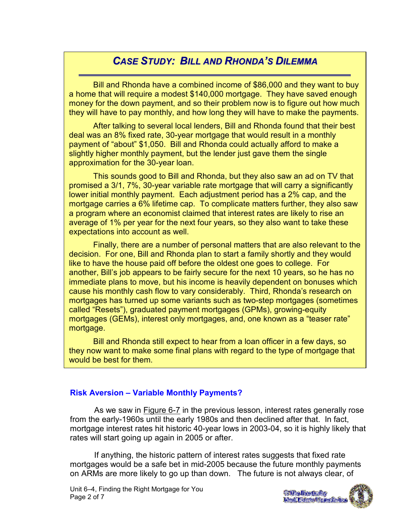# CASE STUDY: BILL AND RHONDA'S DILEMMA

ī

Bill and Rhonda have a combined income of \$86,000 and they want to buy a home that will require a modest \$140,000 mortgage. They have saved enough money for the down payment, and so their problem now is to figure out how much they will have to pay monthly, and how long they will have to make the payments.

After talking to several local lenders, Bill and Rhonda found that their best deal was an 8% fixed rate, 30-year mortgage that would result in a monthly payment of "about" \$1,050. Bill and Rhonda could actually afford to make a slightly higher monthly payment, but the lender just gave them the single approximation for the 30-year loan.

This sounds good to Bill and Rhonda, but they also saw an ad on TV that promised a 3/1, 7%, 30-year variable rate mortgage that will carry a significantly lower initial monthly payment. Each adjustment period has a 2% cap, and the mortgage carries a 6% lifetime cap. To complicate matters further, they also saw a program where an economist claimed that interest rates are likely to rise an average of 1% per year for the next four years, so they also want to take these expectations into account as well.

immediate plans to move, but his income is heavily dependent on bonuses which mortgages has turned up some variants such as two-step mortgages (sometimes called "Resets"), graduated payment mortgages (GPMs), growing-equity \_\_\_\_\_\_\_\_\_| mortgages (GEMs), interest only mortgages, and, one known as a "teaser rate" virtually all rates highs in the early 1980s in the early 1980s in the early 1980s in the early 1980s. Finally, there are a number of personal matters that are also relevant to the decision. For one, Bill and Rhonda plan to start a family shortly and they would like to have the house paid off before the oldest one goes to college. For another, Bill's job appears to be fairly secure for the next 10 years, so he has no cause his monthly cash flow to vary considerably. Third, Rhonda's research on

Bill and Rhonda still expect to hear from a loan officer in a few days, so they now want to make some final plans with regard to the type of mortgage that would be best for them.

#### Risk Aversion – Variable Monthly Payments?

As we saw in Figure 6-7 in the previous lesson, interest rates generally rose from the early-1960s until the early 1980s and then declined after that. In fact, mortgage interest rates hit historic 40-year lows in 2003-04, so it is highly likely that rates will start going up again in 2005 or after.

If anything, the historic pattern of interest rates suggests that fixed rate mortgages would be a safe bet in mid-2005 because the future monthly payments on ARMs are more likely to go up than down. The future is not always clear, of

Unit 6–4, Finding the Right Mortgage for You Page 2 of 7

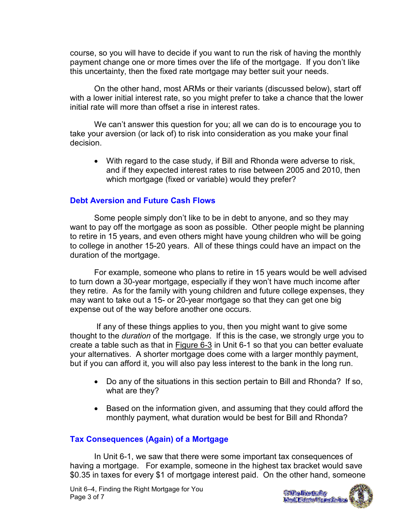course, so you will have to decide if you want to run the risk of having the monthly payment change one or more times over the life of the mortgage. If you don't like this uncertainty, then the fixed rate mortgage may better suit your needs.

On the other hand, most ARMs or their variants (discussed below), start off with a lower initial interest rate, so you might prefer to take a chance that the lower initial rate will more than offset a rise in interest rates.

We can't answer this question for you; all we can do is to encourage you to take your aversion (or lack of) to risk into consideration as you make your final decision.

• With regard to the case study, if Bill and Rhonda were adverse to risk, and if they expected interest rates to rise between 2005 and 2010, then which mortgage (fixed or variable) would they prefer?

#### Debt Aversion and Future Cash Flows

Some people simply don't like to be in debt to anyone, and so they may want to pay off the mortgage as soon as possible. Other people might be planning to retire in 15 years, and even others might have young children who will be going to college in another 15-20 years. All of these things could have an impact on the duration of the mortgage.

For example, someone who plans to retire in 15 years would be well advised to turn down a 30-year mortgage, especially if they won't have much income after they retire. As for the family with young children and future college expenses, they may want to take out a 15- or 20-year mortgage so that they can get one big expense out of the way before another one occurs.

 If any of these things applies to you, then you might want to give some thought to the duration of the mortgage. If this is the case, we strongly urge you to create a table such as that in Figure 6-3 in Unit 6-1 so that you can better evaluate your alternatives. A shorter mortgage does come with a larger monthly payment, but if you can afford it, you will also pay less interest to the bank in the long run.

- Do any of the situations in this section pertain to Bill and Rhonda? If so, what are they?
- Based on the information given, and assuming that they could afford the monthly payment, what duration would be best for Bill and Rhonda?

## Tax Consequences (Again) of a Mortgage

 In Unit 6-1, we saw that there were some important tax consequences of having a mortgage. For example, someone in the highest tax bracket would save \$0.35 in taxes for every \$1 of mortgage interest paid. On the other hand, someone

Unit 6–4, Finding the Right Mortgage for You Page 3 of 7

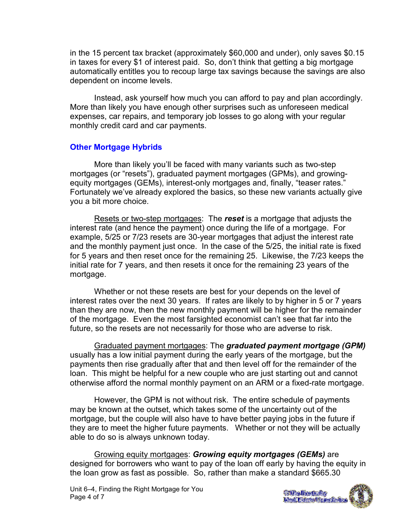in the 15 percent tax bracket (approximately \$60,000 and under), only saves \$0.15 in taxes for every \$1 of interest paid. So, don't think that getting a big mortgage automatically entitles you to recoup large tax savings because the savings are also dependent on income levels.

 Instead, ask yourself how much you can afford to pay and plan accordingly. More than likely you have enough other surprises such as unforeseen medical expenses, car repairs, and temporary job losses to go along with your regular monthly credit card and car payments.

#### Other Mortgage Hybrids

More than likely you'll be faced with many variants such as two-step mortgages (or "resets"), graduated payment mortgages (GPMs), and growingequity mortgages (GEMs), interest-only mortgages and, finally, "teaser rates." Fortunately we've already explored the basics, so these new variants actually give you a bit more choice.

Resets or two-step mortgages: The reset is a mortgage that adjusts the interest rate (and hence the payment) once during the life of a mortgage. For example, 5/25 or 7/23 resets are 30-year mortgages that adjust the interest rate and the monthly payment just once. In the case of the 5/25, the initial rate is fixed for 5 years and then reset once for the remaining 25. Likewise, the 7/23 keeps the initial rate for 7 years, and then resets it once for the remaining 23 years of the mortgage.

Whether or not these resets are best for your depends on the level of interest rates over the next 30 years. If rates are likely to by higher in 5 or 7 years than they are now, then the new monthly payment will be higher for the remainder of the mortgage. Even the most farsighted economist can't see that far into the future, so the resets are not necessarily for those who are adverse to risk.

Graduated payment mortgages: The graduated payment mortgage (GPM) usually has a low initial payment during the early years of the mortgage, but the payments then rise gradually after that and then level off for the remainder of the loan. This might be helpful for a new couple who are just starting out and cannot otherwise afford the normal monthly payment on an ARM or a fixed-rate mortgage.

However, the GPM is not without risk. The entire schedule of payments may be known at the outset, which takes some of the uncertainty out of the mortgage, but the couple will also have to have better paying jobs in the future if they are to meet the higher future payments. Whether or not they will be actually able to do so is always unknown today.

Growing equity mortgages: Growing equity mortgages (GEMs) are designed for borrowers who want to pay of the loan off early by having the equity in the loan grow as fast as possible. So, rather than make a standard \$665.30

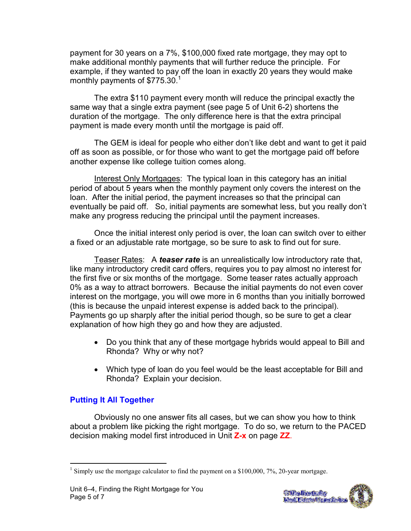payment for 30 years on a 7%, \$100,000 fixed rate mortgage, they may opt to make additional monthly payments that will further reduce the principle. For example, if they wanted to pay off the loan in exactly 20 years they would make monthly payments of  $$775.30.<sup>1</sup>$ 

The extra \$110 payment every month will reduce the principal exactly the same way that a single extra payment (see page 5 of Unit 6-2) shortens the duration of the mortgage. The only difference here is that the extra principal payment is made every month until the mortgage is paid off.

The GEM is ideal for people who either don't like debt and want to get it paid off as soon as possible, or for those who want to get the mortgage paid off before another expense like college tuition comes along.

Interest Only Mortgages: The typical loan in this category has an initial period of about 5 years when the monthly payment only covers the interest on the loan. After the initial period, the payment increases so that the principal can eventually be paid off. So, initial payments are somewhat less, but you really don't make any progress reducing the principal until the payment increases.

Once the initial interest only period is over, the loan can switch over to either a fixed or an adjustable rate mortgage, so be sure to ask to find out for sure.

Teaser Rates: A teaser rate is an unrealistically low introductory rate that, like many introductory credit card offers, requires you to pay almost no interest for the first five or six months of the mortgage. Some teaser rates actually approach 0% as a way to attract borrowers. Because the initial payments do not even cover interest on the mortgage, you will owe more in 6 months than you initially borrowed (this is because the unpaid interest expense is added back to the principal). Payments go up sharply after the initial period though, so be sure to get a clear explanation of how high they go and how they are adjusted.

- Do you think that any of these mortgage hybrids would appeal to Bill and Rhonda? Why or why not?
- Which type of loan do you feel would be the least acceptable for Bill and Rhonda? Explain your decision.

## Putting It All Together

 Obviously no one answer fits all cases, but we can show you how to think about a problem like picking the right mortgage. To do so, we return to the PACED decision making model first introduced in Unit Z-x on page ZZ.



<sup>&</sup>lt;sup>1</sup> Simply use the mortgage calculator to find the payment on a \$100,000, 7%, 20-year mortgage.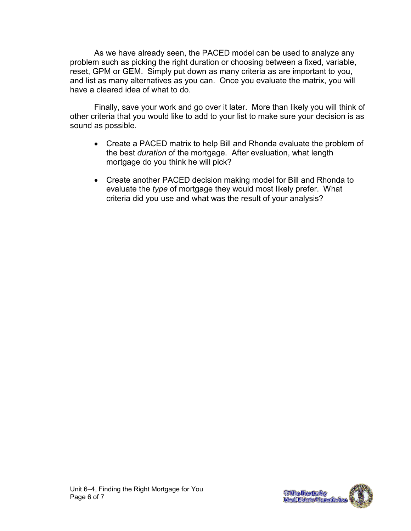As we have already seen, the PACED model can be used to analyze any problem such as picking the right duration or choosing between a fixed, variable, reset, GPM or GEM. Simply put down as many criteria as are important to you, and list as many alternatives as you can. Once you evaluate the matrix, you will have a cleared idea of what to do.

 Finally, save your work and go over it later. More than likely you will think of other criteria that you would like to add to your list to make sure your decision is as sound as possible.

- Create a PACED matrix to help Bill and Rhonda evaluate the problem of the best duration of the mortgage. After evaluation, what length mortgage do you think he will pick?
- Create another PACED decision making model for Bill and Rhonda to evaluate the type of mortgage they would most likely prefer. What criteria did you use and what was the result of your analysis?